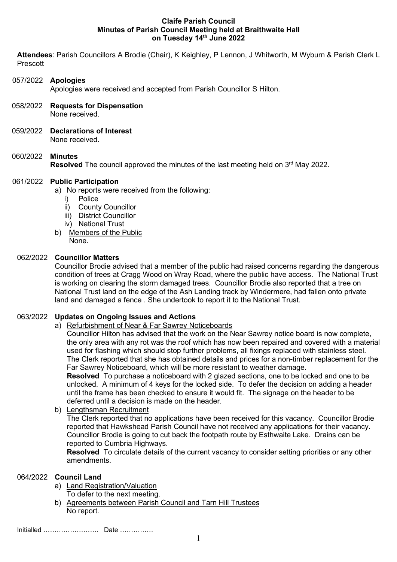#### Claife Parish Council Minutes of Parish Council Meeting held at Braithwaite Hall on Tuesday 14th June 2022

Attendees: Parish Councillors A Brodie (Chair), K Keighley, P Lennon, J Whitworth, M Wyburn & Parish Clerk L Prescott

## 057/2022 Apologies

Apologies were received and accepted from Parish Councillor S Hilton.

- 058/2022 Requests for Dispensation None received.
- 059/2022 Declarations of Interest None received.

# 060/2022 Minutes

Resolved The council approved the minutes of the last meeting held on 3<sup>rd</sup> May 2022.

#### 061/2022 Public Participation

a) No reports were received from the following:

- i) Police
- ii) County Councillor
- iii) District Councillor
- iv) National Trust
- b) Members of the Public

None.

#### 062/2022 Councillor Matters

Councillor Brodie advised that a member of the public had raised concerns regarding the dangerous condition of trees at Cragg Wood on Wray Road, where the public have access. The National Trust is working on clearing the storm damaged trees. Councillor Brodie also reported that a tree on National Trust land on the edge of the Ash Landing track by Windermere, had fallen onto private land and damaged a fence . She undertook to report it to the National Trust.

## 063/2022 Updates on Ongoing Issues and Actions

# a) Refurbishment of Near & Far Sawrey Noticeboards

Councillor Hilton has advised that the work on the Near Sawrey notice board is now complete, the only area with any rot was the roof which has now been repaired and covered with a material used for flashing which should stop further problems, all fixings replaced with stainless steel. The Clerk reported that she has obtained details and prices for a non-timber replacement for the Far Sawrey Noticeboard, which will be more resistant to weather damage.

Resolved To purchase a noticeboard with 2 glazed sections, one to be locked and one to be unlocked. A minimum of 4 keys for the locked side. To defer the decision on adding a header until the frame has been checked to ensure it would fit. The signage on the header to be deferred until a decision is made on the header.

b) Lengthsman Recruitment

The Clerk reported that no applications have been received for this vacancy. Councillor Brodie reported that Hawkshead Parish Council have not received any applications for their vacancy. Councillor Brodie is going to cut back the footpath route by Esthwaite Lake. Drains can be reported to Cumbria Highways.

Resolved To circulate details of the current vacancy to consider setting priorities or any other amendments.

## 064/2022 Council Land

a) Land Registration/Valuation

To defer to the next meeting.

b) Agreements between Parish Council and Tarn Hill Trustees No report.

Initialled ……………………. Date ……………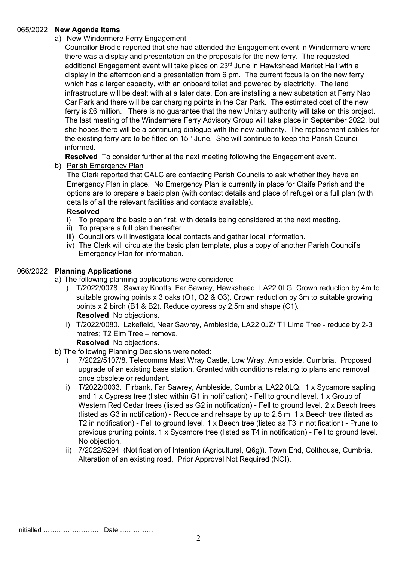#### 065/2022 New Agenda items

# a) New Windermere Ferry Engagement

Councillor Brodie reported that she had attended the Engagement event in Windermere where there was a display and presentation on the proposals for the new ferry. The requested additional Engagement event will take place on  $23<sup>rd</sup>$  June in Hawkshead Market Hall with a display in the afternoon and a presentation from 6 pm. The current focus is on the new ferry which has a larger capacity, with an onboard toilet and powered by electricity. The land infrastructure will be dealt with at a later date. Eon are installing a new substation at Ferry Nab Car Park and there will be car charging points in the Car Park. The estimated cost of the new ferry is £6 million. There is no guarantee that the new Unitary authority will take on this project. The last meeting of the Windermere Ferry Advisory Group will take place in September 2022, but she hopes there will be a continuing dialogue with the new authority. The replacement cables for the existing ferry are to be fitted on 15<sup>th</sup> June. She will continue to keep the Parish Council informed.

Resolved To consider further at the next meeting following the Engagement event.

b) Parish Emergency Plan

The Clerk reported that CALC are contacting Parish Councils to ask whether they have an Emergency Plan in place. No Emergency Plan is currently in place for Claife Parish and the options are to prepare a basic plan (with contact details and place of refuge) or a full plan (with details of all the relevant facilities and contacts available).

## Resolved

- i) To prepare the basic plan first, with details being considered at the next meeting.<br>ii) To prepare a full plan thereafter.
- To prepare a full plan thereafter.
- iii) Councillors will investigate local contacts and gather local information.
- iv) The Clerk will circulate the basic plan template, plus a copy of another Parish Council's Emergency Plan for information.

## 066/2022 Planning Applications

a) The following planning applications were considered:

- i) T/2022/0078. Sawrey Knotts, Far Sawrey, Hawkshead, LA22 0LG. Crown reduction by 4m to suitable growing points x 3 oaks (O1, O2 & O3). Crown reduction by 3m to suitable growing points x 2 birch (B1 & B2). Reduce cypress by 2,5m and shape (C1). Resolved No objections.
- ii) T/2022/0080. Lakefield, Near Sawrey, Ambleside, LA22 0JZ/ T1 Lime Tree reduce by 2-3 metres; T2 Elm Tree – remove. Resolved No objections.
- b) The following Planning Decisions were noted:
	- i) 7/2022/5107/8. Telecomms Mast Wray Castle, Low Wray, Ambleside, Cumbria. Proposed upgrade of an existing base station. Granted with conditions relating to plans and removal once obsolete or redundant.
	- ii) T/2022/0033. Firbank, Far Sawrey, Ambleside, Cumbria, LA22 0LQ. 1 x Sycamore sapling and 1 x Cypress tree (listed within G1 in notification) - Fell to ground level. 1 x Group of Western Red Cedar trees (listed as G2 in notification) - Fell to ground level. 2 x Beech trees (listed as G3 in notification) - Reduce and rehsape by up to 2.5 m. 1 x Beech tree (listed as T2 in notification) - Fell to ground level. 1 x Beech tree (listed as T3 in notification) - Prune to previous pruning points. 1 x Sycamore tree (listed as T4 in notification) - Fell to ground level. No objection.
	- iii) 7/2022/5294 (Notification of Intention (Agricultural, Q6g)). Town End, Colthouse, Cumbria. Alteration of an existing road. Prior Approval Not Required (NOI).